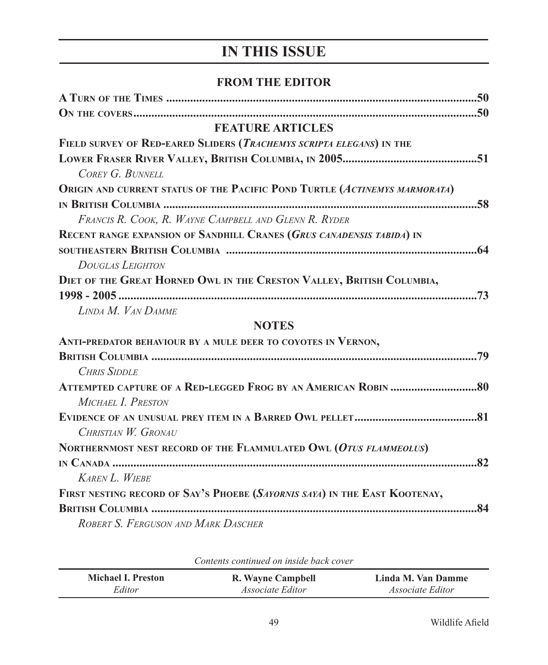## **IN THIS ISSUE**

## **FROM THE EDITOR**

| A TURN OF THE TIMES ……………………………………………………………………………………………50                  |
|----------------------------------------------------------------------------|
|                                                                            |
| <b>FEATURE ARTICLES</b>                                                    |
| FIELD SURVEY OF RED-EARED SLIDERS (TRACHEMYS SCRIPTA ELEGANS) IN THE       |
| COREY G. BUNNELL                                                           |
| ORIGIN AND CURRENT STATUS OF THE PACIFIC POND TURTLE (ACTINEMYS MARMORATA) |
|                                                                            |
| FRANCIS R. COOK, R. WAYNE CAMPBELL AND GLENN R. RYDER                      |
| RECENT RANGE EXPANSION OF SANDHILL CRANES (GRUS CANADENSIS TABIDA) IN      |
|                                                                            |
| <b>DOUGLAS LEIGHTON</b>                                                    |
| DIET OF THE GREAT HORNED OWL IN THE CRESTON VALLEY, BRITISH COLUMBIA,      |
|                                                                            |
| LINDA M. VAN DAMME                                                         |
| <b>NOTES</b>                                                               |
| ANTI-PREDATOR BEHAVIOUR BY A MULE DEER TO COYOTES IN VERNON,               |
|                                                                            |
| <b>CHRIS SIDDLE</b>                                                        |
|                                                                            |
| MICHAEL I. PRESTON                                                         |
|                                                                            |
| CHRISTIAN W. GRONAU                                                        |
| NORTHERNMOST NEST RECORD OF THE FLAMMULATED OWL (OTUS FLAMMEOLUS)          |
|                                                                            |
| <b>KAREN L. WIEBE</b>                                                      |
| FIRST NESTING RECORD OF SAY'S PHOEBE (SAYORNIS SAYA) IN THE EAST KOOTENAY, |
|                                                                            |
| ROBERT S. FERGUSON AND MARK DASCHER                                        |

| Comento communed on monde buck cover |                         |                         |  |
|--------------------------------------|-------------------------|-------------------------|--|
| <b>Michael I. Preston</b>            | R. Wayne Campbell       | Linda M. Van Damme      |  |
| Editor                               | <i>Associate Editor</i> | <i>Associate Editor</i> |  |

*Contents continued on inside back cover*